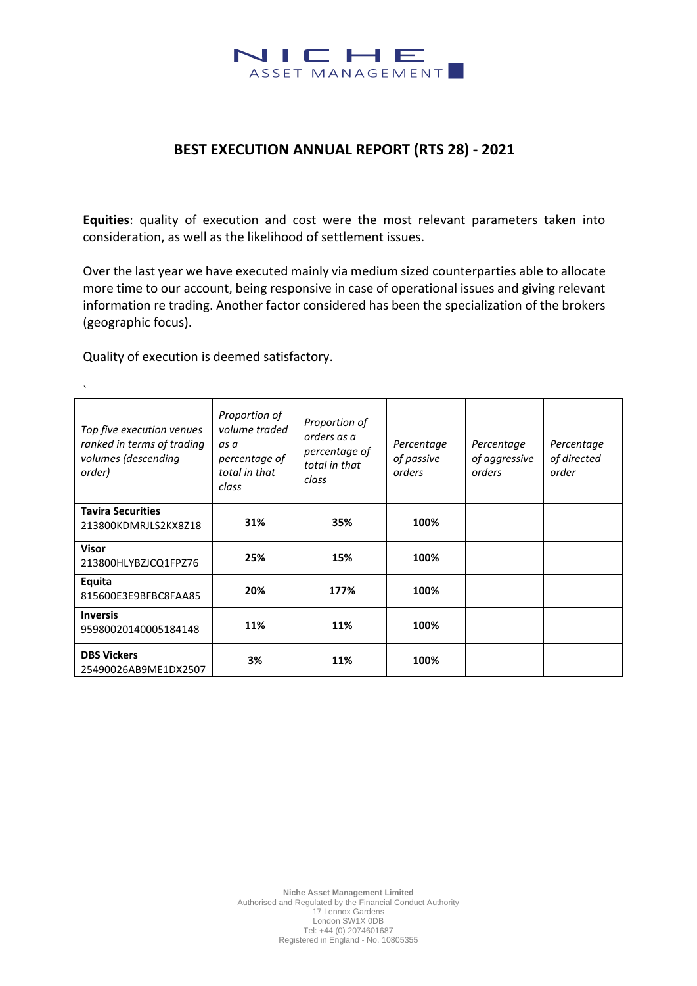

## **BEST EXECUTION ANNUAL REPORT (RTS 28) - 2021**

**Equities**: quality of execution and cost were the most relevant parameters taken into consideration, as well as the likelihood of settlement issues.

Over the last year we have executed mainly via medium sized counterparties able to allocate more time to our account, being responsive in case of operational issues and giving relevant information re trading. Another factor considered has been the specialization of the brokers (geographic focus).

Quality of execution is deemed satisfactory.

| $\cdot$                                                                                  |                                                                                   |                                                                         |                                    |                                       |                                    |
|------------------------------------------------------------------------------------------|-----------------------------------------------------------------------------------|-------------------------------------------------------------------------|------------------------------------|---------------------------------------|------------------------------------|
| Top five execution venues<br>ranked in terms of trading<br>volumes (descending<br>order) | Proportion of<br>volume traded<br>as a<br>percentage of<br>total in that<br>class | Proportion of<br>orders as a<br>percentage of<br>total in that<br>class | Percentage<br>of passive<br>orders | Percentage<br>of aggressive<br>orders | Percentage<br>of directed<br>order |
| <b>Tavira Securities</b><br>213800KDMRJLS2KX8Z18                                         | 31%                                                                               | 35%                                                                     | 100%                               |                                       |                                    |
| Visor<br>213800HLYBZJCQ1FPZ76                                                            | 25%                                                                               | 15%                                                                     | 100%                               |                                       |                                    |
| Equita<br>815600E3E9BFBC8FAA85                                                           | 20%                                                                               | 177%                                                                    | 100%                               |                                       |                                    |
| <b>Inversis</b><br>95980020140005184148                                                  | 11%                                                                               | 11%                                                                     | 100%                               |                                       |                                    |
| <b>DBS Vickers</b><br>25490026AB9ME1DX2507                                               | 3%                                                                                | 11%                                                                     | 100%                               |                                       |                                    |